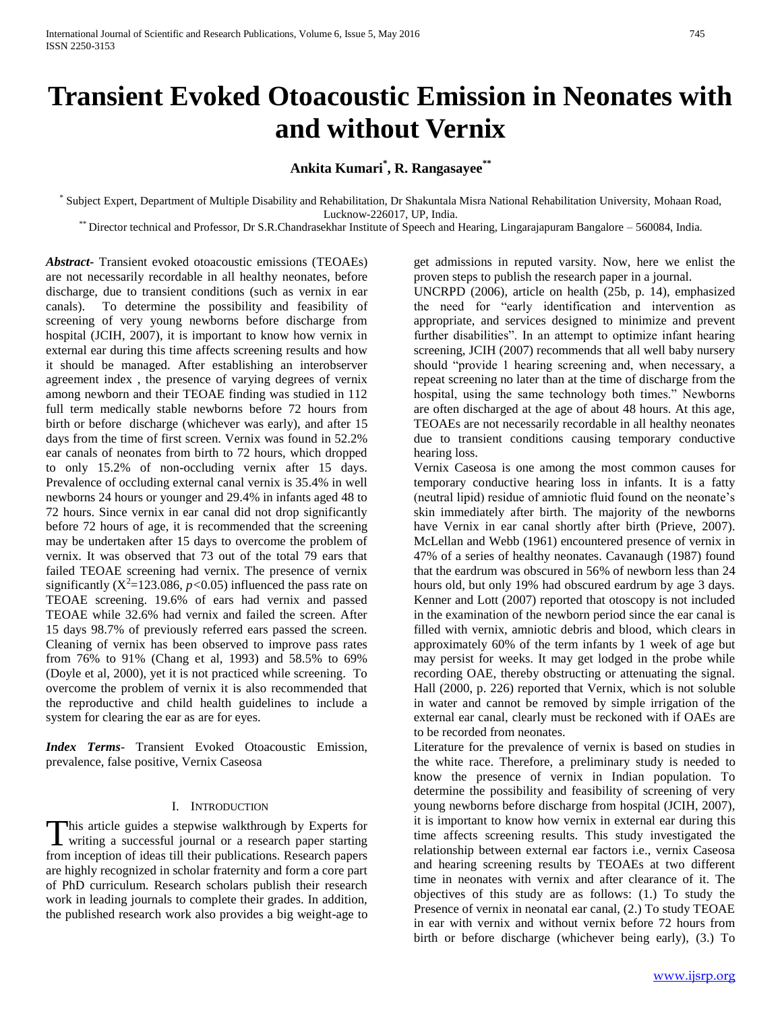# **Transient Evoked Otoacoustic Emission in Neonates with and without Vernix**

# **Ankita Kumari\* , R. Rangasayee\*\***

\* Subject Expert, Department of Multiple Disability and Rehabilitation, Dr Shakuntala Misra National Rehabilitation University, Mohaan Road, Lucknow-226017, UP, India.

\*\* Director technical and Professor, Dr S.R.Chandrasekhar Institute of Speech and Hearing, Lingarajapuram Bangalore – 560084, India.

*Abstract***-** Transient evoked otoacoustic emissions (TEOAEs) are not necessarily recordable in all healthy neonates, before discharge, due to transient conditions (such as vernix in ear canals). To determine the possibility and feasibility of screening of very young newborns before discharge from hospital (JCIH, 2007), it is important to know how vernix in external ear during this time affects screening results and how it should be managed. After establishing an interobserver agreement index , the presence of varying degrees of vernix among newborn and their TEOAE finding was studied in 112 full term medically stable newborns before 72 hours from birth or before discharge (whichever was early), and after 15 days from the time of first screen. Vernix was found in 52.2% ear canals of neonates from birth to 72 hours, which dropped to only 15.2% of non-occluding vernix after 15 days. Prevalence of occluding external canal vernix is 35.4% in well newborns 24 hours or younger and 29.4% in infants aged 48 to 72 hours. Since vernix in ear canal did not drop significantly before 72 hours of age, it is recommended that the screening may be undertaken after 15 days to overcome the problem of vernix. It was observed that 73 out of the total 79 ears that failed TEOAE screening had vernix. The presence of vernix significantly  $(X^2=123.086, p<0.05)$  influenced the pass rate on TEOAE screening. 19.6% of ears had vernix and passed TEOAE while 32.6% had vernix and failed the screen. After 15 days 98.7% of previously referred ears passed the screen. Cleaning of vernix has been observed to improve pass rates from 76% to 91% (Chang et al, 1993) and 58.5% to 69% (Doyle et al, 2000), yet it is not practiced while screening. To overcome the problem of vernix it is also recommended that the reproductive and child health guidelines to include a system for clearing the ear as are for eyes.

*Index Terms*- Transient Evoked Otoacoustic Emission, prevalence, false positive, Vernix Caseosa

#### I. INTRODUCTION

his article guides a stepwise walkthrough by Experts for This article guides a stepwise walkthrough by Experts for writing a successful journal or a research paper starting from inception of ideas till their publications. Research papers are highly recognized in scholar fraternity and form a core part of PhD curriculum. Research scholars publish their research work in leading journals to complete their grades. In addition, the published research work also provides a big weight-age to

get admissions in reputed varsity. Now, here we enlist the proven steps to publish the research paper in a journal.

UNCRPD (2006), article on health (25b, p. 14), emphasized the need for "early identification and intervention as appropriate, and services designed to minimize and prevent further disabilities". In an attempt to optimize infant hearing screening, JCIH (2007) recommends that all well baby nursery should "provide 1 hearing screening and, when necessary, a repeat screening no later than at the time of discharge from the hospital, using the same technology both times." Newborns are often discharged at the age of about 48 hours. At this age, TEOAEs are not necessarily recordable in all healthy neonates due to transient conditions causing temporary conductive hearing loss.

Vernix Caseosa is one among the most common causes for temporary conductive hearing loss in infants. It is a fatty (neutral lipid) residue of amniotic fluid found on the neonate's skin immediately after birth. The majority of the newborns have Vernix in ear canal shortly after birth (Prieve, 2007). McLellan and Webb (1961) encountered presence of vernix in 47% of a series of healthy neonates. Cavanaugh (1987) found that the eardrum was obscured in 56% of newborn less than 24 hours old, but only 19% had obscured eardrum by age 3 days. Kenner and Lott (2007) reported that otoscopy is not included in the examination of the newborn period since the ear canal is filled with vernix, amniotic debris and blood, which clears in approximately 60% of the term infants by 1 week of age but may persist for weeks. It may get lodged in the probe while recording OAE, thereby obstructing or attenuating the signal. Hall (2000, p. 226) reported that Vernix, which is not soluble in water and cannot be removed by simple irrigation of the external ear canal, clearly must be reckoned with if OAEs are to be recorded from neonates.

Literature for the prevalence of vernix is based on studies in the white race. Therefore, a preliminary study is needed to know the presence of vernix in Indian population. To determine the possibility and feasibility of screening of very young newborns before discharge from hospital (JCIH, 2007), it is important to know how vernix in external ear during this time affects screening results. This study investigated the relationship between external ear factors i.e., vernix Caseosa and hearing screening results by TEOAEs at two different time in neonates with vernix and after clearance of it. The objectives of this study are as follows: (1.) To study the Presence of vernix in neonatal ear canal, (2.) To study TEOAE in ear with vernix and without vernix before 72 hours from birth or before discharge (whichever being early), (3.) To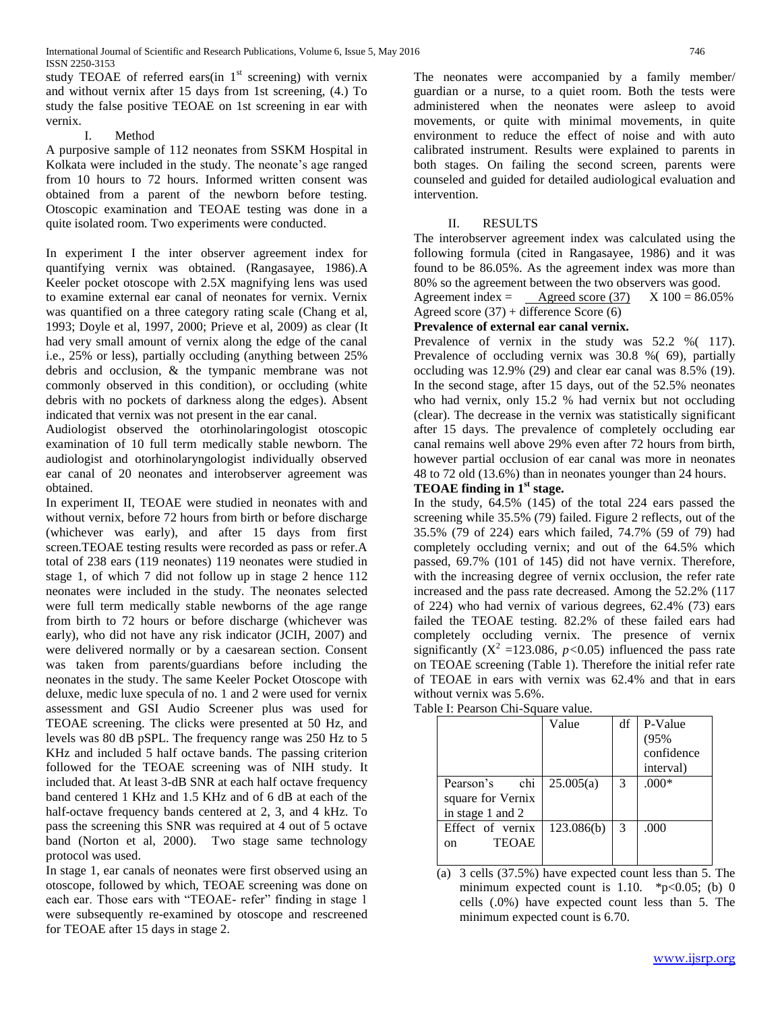study TEOAE of referred ears(in  $1<sup>st</sup>$  screening) with vernix and without vernix after 15 days from 1st screening, (4.) To study the false positive TEOAE on 1st screening in ear with vernix.

#### I. Method

A purposive sample of 112 neonates from SSKM Hospital in Kolkata were included in the study. The neonate's age ranged from 10 hours to 72 hours. Informed written consent was obtained from a parent of the newborn before testing. Otoscopic examination and TEOAE testing was done in a quite isolated room. Two experiments were conducted.

In experiment I the inter observer agreement index for quantifying vernix was obtained. (Rangasayee, 1986).A Keeler pocket otoscope with 2.5X magnifying lens was used to examine external ear canal of neonates for vernix. Vernix was quantified on a three category rating scale (Chang et al, 1993; Doyle et al, 1997, 2000; Prieve et al, 2009) as clear (It had very small amount of vernix along the edge of the canal i.e., 25% or less), partially occluding (anything between 25% debris and occlusion, & the tympanic membrane was not commonly observed in this condition), or occluding (white debris with no pockets of darkness along the edges). Absent indicated that vernix was not present in the ear canal.

Audiologist observed the otorhinolaringologist otoscopic examination of 10 full term medically stable newborn. The audiologist and otorhinolaryngologist individually observed ear canal of 20 neonates and interobserver agreement was obtained.

In experiment II, TEOAE were studied in neonates with and without vernix, before 72 hours from birth or before discharge (whichever was early), and after 15 days from first screen.TEOAE testing results were recorded as pass or refer.A total of 238 ears (119 neonates) 119 neonates were studied in stage 1, of which 7 did not follow up in stage 2 hence 112 neonates were included in the study. The neonates selected were full term medically stable newborns of the age range from birth to 72 hours or before discharge (whichever was early), who did not have any risk indicator (JCIH, 2007) and were delivered normally or by a caesarean section. Consent was taken from parents/guardians before including the neonates in the study. The same Keeler Pocket Otoscope with deluxe, medic luxe specula of no. 1 and 2 were used for vernix assessment and GSI Audio Screener plus was used for TEOAE screening. The clicks were presented at 50 Hz, and levels was 80 dB pSPL. The frequency range was 250 Hz to 5 KHz and included 5 half octave bands. The passing criterion followed for the TEOAE screening was of NIH study. It included that. At least 3-dB SNR at each half octave frequency band centered 1 KHz and 1.5 KHz and of 6 dB at each of the half-octave frequency bands centered at 2, 3, and 4 kHz. To pass the screening this SNR was required at 4 out of 5 octave band (Norton et al, 2000). Two stage same technology protocol was used.

In stage 1, ear canals of neonates were first observed using an otoscope, followed by which, TEOAE screening was done on each ear. Those ears with "TEOAE- refer" finding in stage 1 were subsequently re-examined by otoscope and rescreened for TEOAE after 15 days in stage 2.

The neonates were accompanied by a family member/ guardian or a nurse, to a quiet room. Both the tests were administered when the neonates were asleep to avoid movements, or quite with minimal movements, in quite environment to reduce the effect of noise and with auto calibrated instrument. Results were explained to parents in both stages. On failing the second screen, parents were counseled and guided for detailed audiological evaluation and intervention.

#### II. RESULTS

The interobserver agreement index was calculated using the following formula (cited in Rangasayee, 1986) and it was found to be 86.05%. As the agreement index was more than 80% so the agreement between the two observers was good.

Agreement index = Agreed score  $(37)$  X  $100 = 86.05\%$ Agreed score  $(37)$  + difference Score  $(6)$ 

### **Prevalence of external ear canal vernix.**

Prevalence of vernix in the study was 52.2 % (117). Prevalence of occluding vernix was 30.8 %( 69), partially occluding was 12.9% (29) and clear ear canal was 8.5% (19). In the second stage, after 15 days, out of the 52.5% neonates who had vernix, only 15.2 % had vernix but not occluding (clear). The decrease in the vernix was statistically significant after 15 days. The prevalence of completely occluding ear canal remains well above 29% even after 72 hours from birth, however partial occlusion of ear canal was more in neonates 48 to 72 old (13.6%) than in neonates younger than 24 hours.

## **TEOAE finding in 1st stage.**

In the study, 64.5% (145) of the total 224 ears passed the screening while 35.5% (79) failed. Figure 2 reflects, out of the 35.5% (79 of 224) ears which failed, 74.7% (59 of 79) had completely occluding vernix; and out of the 64.5% which passed, 69.7% (101 of 145) did not have vernix. Therefore, with the increasing degree of vernix occlusion, the refer rate increased and the pass rate decreased. Among the 52.2% (117 of 224) who had vernix of various degrees, 62.4% (73) ears failed the TEOAE testing. 82.2% of these failed ears had completely occluding vernix. The presence of vernix significantly  $(X^2 = 123.086, p < 0.05)$  influenced the pass rate on TEOAE screening (Table 1). Therefore the initial refer rate of TEOAE in ears with vernix was 62.4% and that in ears without vernix was 5.6%.

Table I: Pearson Chi-Square value.

|                               | Value      | df | P-Value    |
|-------------------------------|------------|----|------------|
|                               |            |    | (95%       |
|                               |            |    | confidence |
|                               |            |    | interval)  |
| Pearson's<br>chi              | 25.005(a)  | 3  | $.000*$    |
| square for Vernix             |            |    |            |
| in stage 1 and 2              |            |    |            |
| Effect of vernix              | 123.086(b) | 3  | .000       |
| <b>TEOAE</b><br><sub>on</sub> |            |    |            |
|                               |            |    |            |

(a) 3 cells  $(37.5%)$  have expected count less than 5. The minimum expected count is 1.10. \*p<0.05; (b) 0 cells (.0%) have expected count less than 5. The minimum expected count is 6.70.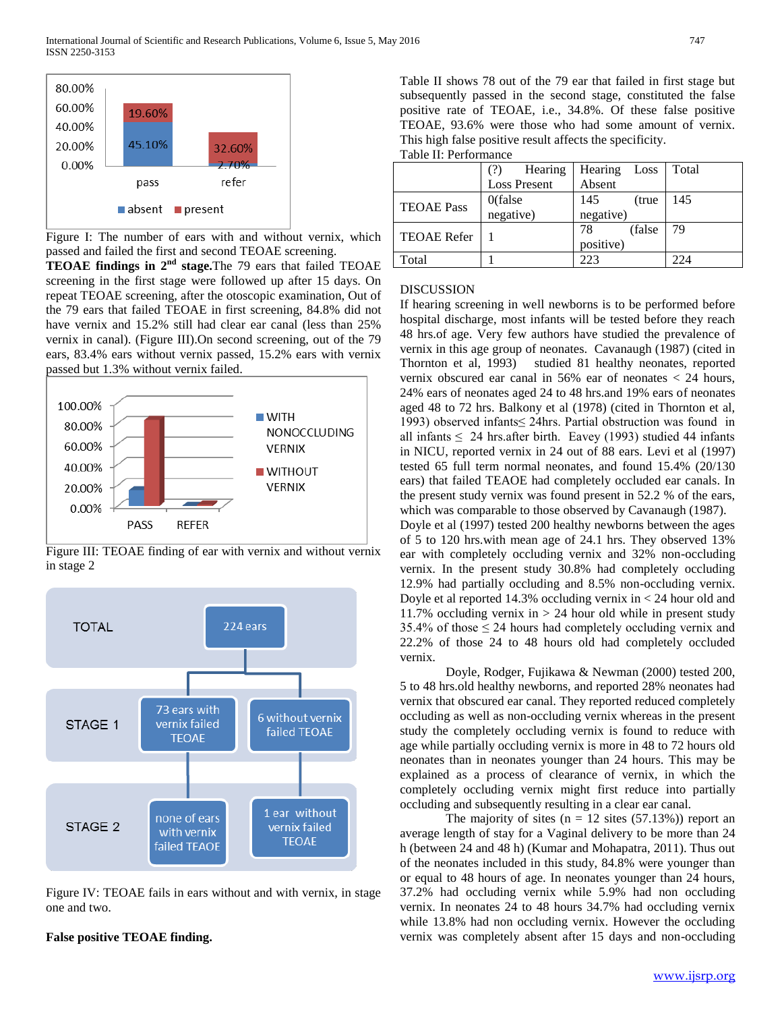

Figure I: The number of ears with and without vernix, which passed and failed the first and second TEOAE screening.

**TEOAE findings in 2nd stage.**The 79 ears that failed TEOAE screening in the first stage were followed up after 15 days. On repeat TEOAE screening, after the otoscopic examination, Out of the 79 ears that failed TEOAE in first screening, 84.8% did not have vernix and 15.2% still had clear ear canal (less than  $25\%$ ) vernix in canal). (Figure III).On second screening, out of the 79 ears, 83.4% ears without vernix passed, 15.2% ears with vernix passed but 1.3% without vernix failed.



Figure III: TEOAE finding of ear with vernix and without vernix in stage 2



Figure IV: TEOAE fails in ears without and with vernix, in stage one and two.

# **False positive TEOAE finding.**

Table II shows 78 out of the 79 ear that failed in first stage but subsequently passed in the second stage, constituted the false positive rate of TEOAE, i.e., 34.8%. Of these false positive TEOAE, 93.6% were those who had some amount of vernix. This high false positive result affects the specificity. Table II: Performance

| 1 4010 11: 1 0110111141100 |                     |                 |       |
|----------------------------|---------------------|-----------------|-------|
|                            | Hearing<br>(?)      | Hearing<br>Loss | Total |
|                            | <b>Loss Present</b> | Absent          |       |
| <b>TEOAE Pass</b>          | $0$ (false          | 145<br>(true)   | 145   |
|                            | negative)           | negative)       |       |
| <b>TEOAE Refer</b>         |                     | (false)<br>78   | 79    |
|                            |                     | positive)       |       |
| Total                      |                     | 223             | 224   |

#### DISCUSSION

If hearing screening in well newborns is to be performed before hospital discharge, most infants will be tested before they reach 48 hrs.of age. Very few authors have studied the prevalence of vernix in this age group of neonates. Cavanaugh (1987) (cited in Thornton et al, 1993) studied 81 healthy neonates, reported vernix obscured ear canal in 56% ear of neonates < 24 hours, 24% ears of neonates aged 24 to 48 hrs.and 19% ears of neonates aged 48 to 72 hrs. Balkony et al (1978) (cited in Thornton et al, 1993) observed infants≤ 24hrs. Partial obstruction was found in all infants  $\leq 24$  hrs. after birth. Eavey (1993) studied 44 infants in NICU, reported vernix in 24 out of 88 ears. Levi et al (1997) tested 65 full term normal neonates, and found 15.4% (20/130 ears) that failed TEAOE had completely occluded ear canals. In the present study vernix was found present in 52.2 % of the ears, which was comparable to those observed by Cavanaugh (1987). Doyle et al (1997) tested 200 healthy newborns between the ages of 5 to 120 hrs.with mean age of 24.1 hrs. They observed 13% ear with completely occluding vernix and 32% non-occluding vernix. In the present study 30.8% had completely occluding 12.9% had partially occluding and 8.5% non-occluding vernix. Doyle et al reported 14.3% occluding vernix in  $<$  24 hour old and 11.7% occluding vernix in  $> 24$  hour old while in present study 35.4% of those  $\leq$  24 hours had completely occluding vernix and 22.2% of those 24 to 48 hours old had completely occluded vernix.

Doyle, Rodger, Fujikawa & Newman (2000) tested 200, 5 to 48 hrs.old healthy newborns, and reported 28% neonates had vernix that obscured ear canal. They reported reduced completely occluding as well as non-occluding vernix whereas in the present study the completely occluding vernix is found to reduce with age while partially occluding vernix is more in 48 to 72 hours old neonates than in neonates younger than 24 hours. This may be explained as a process of clearance of vernix, in which the completely occluding vernix might first reduce into partially occluding and subsequently resulting in a clear ear canal.

The majority of sites  $(n = 12$  sites  $(57.13%)$  report an average length of stay for a Vaginal delivery to be more than 24 h (between 24 and 48 h) (Kumar and Mohapatra, 2011). Thus out of the neonates included in this study, 84.8% were younger than or equal to 48 hours of age. In neonates younger than 24 hours, 37.2% had occluding vernix while 5.9% had non occluding vernix. In neonates 24 to 48 hours 34.7% had occluding vernix while 13.8% had non occluding vernix. However the occluding vernix was completely absent after 15 days and non-occluding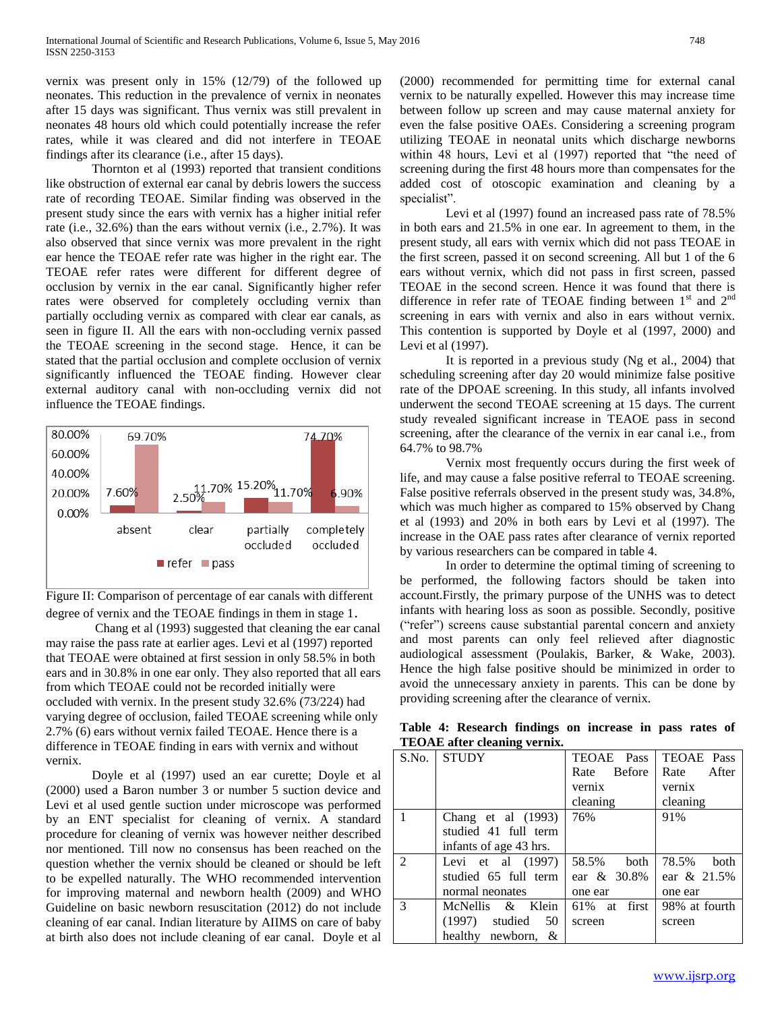vernix was present only in 15% (12/79) of the followed up neonates. This reduction in the prevalence of vernix in neonates after 15 days was significant. Thus vernix was still prevalent in neonates 48 hours old which could potentially increase the refer rates, while it was cleared and did not interfere in TEOAE findings after its clearance (i.e., after 15 days).

Thornton et al (1993) reported that transient conditions like obstruction of external ear canal by debris lowers the success rate of recording TEOAE. Similar finding was observed in the present study since the ears with vernix has a higher initial refer rate (i.e., 32.6%) than the ears without vernix (i.e., 2.7%). It was also observed that since vernix was more prevalent in the right ear hence the TEOAE refer rate was higher in the right ear. The TEOAE refer rates were different for different degree of occlusion by vernix in the ear canal. Significantly higher refer rates were observed for completely occluding vernix than partially occluding vernix as compared with clear ear canals, as seen in figure II. All the ears with non-occluding vernix passed the TEOAE screening in the second stage. Hence, it can be stated that the partial occlusion and complete occlusion of vernix significantly influenced the TEOAE finding. However clear external auditory canal with non-occluding vernix did not influence the TEOAE findings.



Figure II: Comparison of percentage of ear canals with different degree of vernix and the TEOAE findings in them in stage 1.

Chang et al (1993) suggested that cleaning the ear canal may raise the pass rate at earlier ages. Levi et al (1997) reported that TEOAE were obtained at first session in only 58.5% in both ears and in 30.8% in one ear only. They also reported that all ears from which TEOAE could not be recorded initially were occluded with vernix. In the present study 32.6% (73/224) had varying degree of occlusion, failed TEOAE screening while only 2.7% (6) ears without vernix failed TEOAE. Hence there is a difference in TEOAE finding in ears with vernix and without vernix.

Doyle et al (1997) used an ear curette; Doyle et al (2000) used a Baron number 3 or number 5 suction device and Levi et al used gentle suction under microscope was performed by an ENT specialist for cleaning of vernix. A standard procedure for cleaning of vernix was however neither described nor mentioned. Till now no consensus has been reached on the question whether the vernix should be cleaned or should be left to be expelled naturally. The WHO recommended intervention for improving maternal and newborn health (2009) and WHO Guideline on basic newborn resuscitation (2012) do not include cleaning of ear canal. Indian literature by AIIMS on care of baby at birth also does not include cleaning of ear canal. Doyle et al (2000) recommended for permitting time for external canal vernix to be naturally expelled. However this may increase time between follow up screen and may cause maternal anxiety for even the false positive OAEs. Considering a screening program utilizing TEOAE in neonatal units which discharge newborns within 48 hours, Levi et al (1997) reported that "the need of screening during the first 48 hours more than compensates for the added cost of otoscopic examination and cleaning by a specialist".

Levi et al (1997) found an increased pass rate of 78.5% in both ears and 21.5% in one ear. In agreement to them, in the present study, all ears with vernix which did not pass TEOAE in the first screen, passed it on second screening. All but 1 of the 6 ears without vernix, which did not pass in first screen, passed TEOAE in the second screen. Hence it was found that there is difference in refer rate of TEOAE finding between 1<sup>st</sup> and 2<sup>nd</sup> screening in ears with vernix and also in ears without vernix. This contention is supported by Doyle et al (1997, 2000) and Levi et al (1997).

It is reported in a previous study (Ng et al., 2004) that scheduling screening after day 20 would minimize false positive rate of the DPOAE screening. In this study, all infants involved underwent the second TEOAE screening at 15 days. The current study revealed significant increase in TEAOE pass in second screening, after the clearance of the vernix in ear canal i.e., from 64.7% to 98.7%

Vernix most frequently occurs during the first week of life, and may cause a false positive referral to TEOAE screening. False positive referrals observed in the present study was, 34.8%, which was much higher as compared to 15% observed by Chang et al (1993) and 20% in both ears by Levi et al (1997). The increase in the OAE pass rates after clearance of vernix reported by various researchers can be compared in table 4.

In order to determine the optimal timing of screening to be performed, the following factors should be taken into account.Firstly, the primary purpose of the UNHS was to detect infants with hearing loss as soon as possible. Secondly, positive ("refer") screens cause substantial parental concern and anxiety and most parents can only feel relieved after diagnostic audiological assessment (Poulakis, Barker, & Wake, 2003). Hence the high false positive should be minimized in order to avoid the unnecessary anxiety in parents. This can be done by providing screening after the clearance of vernix.

|               | TEOTLE and didning vermal |                       |                      |
|---------------|---------------------------|-----------------------|----------------------|
| S.No.         | <b>STUDY</b>              | TEOAE Pass            | <b>TEOAE</b> Pass    |
|               |                           | <b>Before</b><br>Rate | Rate After           |
|               |                           | vernix                | vernix               |
|               |                           | cleaning              | cleaning             |
|               | Chang et al $(1993)$      | 76%                   | 91%                  |
|               | studied 41 full term      |                       |                      |
|               | infants of age 43 hrs.    |                       |                      |
| 2             | Levi et al $(1997)$       | 58.5% both            | 78.5%<br><b>both</b> |
|               | studied 65 full term      | ear & 30.8%           | ear & 21.5%          |
|               | normal neonates           | one ear               | one ear              |
| $\mathcal{R}$ | McNellis & Klein          | 61\% at first         | 98% at fourth        |
|               | $(1997)$ studied 50       | screen                | screen               |
|               | healthy newborn, $\&$     |                       |                      |

**Table 4: Research findings on increase in pass rates of TEOAE after cleaning vernix.**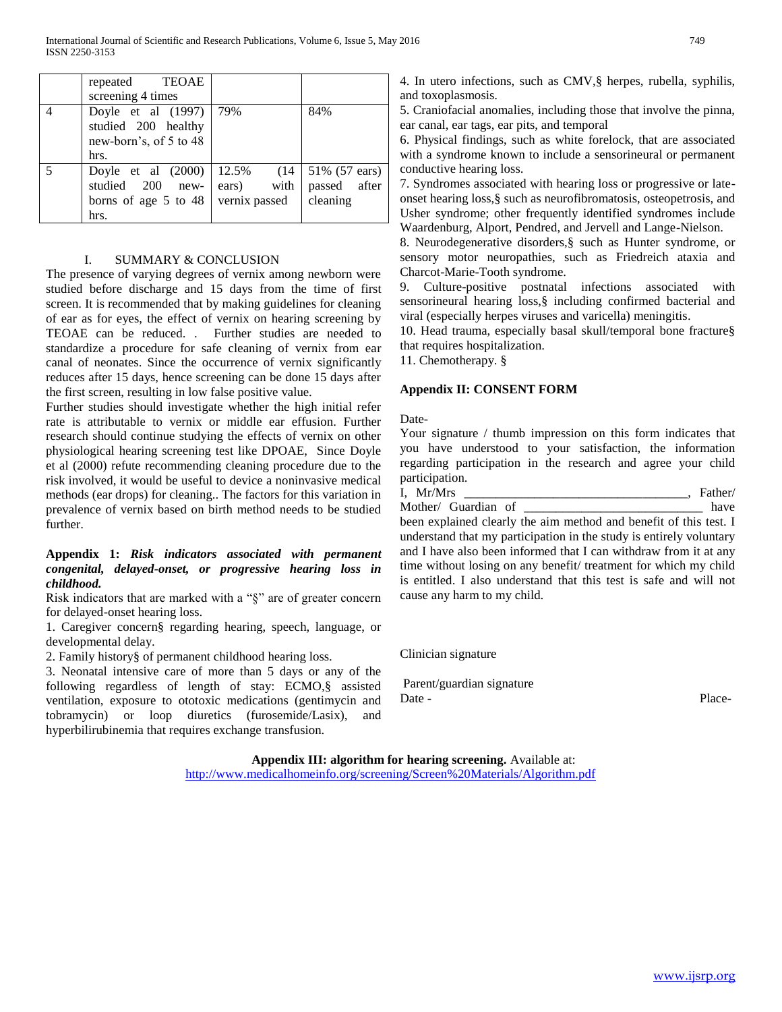| repeated TEOAE<br>screening 4 times                                         |                                              |                                           |
|-----------------------------------------------------------------------------|----------------------------------------------|-------------------------------------------|
| Doyle et al (1997)<br>studied 200 healthy<br>new-born's, of 5 to 48<br>hrs. | 79%                                          | 84%                                       |
| Doyle et al (2000)<br>studied 200 new-<br>borns of age $5$ to $48$<br>hrs.  | 12.5%<br>(14)<br>ears) with<br>vernix passed | 51% (57 ears)<br>passed after<br>cleaning |

## I. SUMMARY & CONCLUSION

The presence of varying degrees of vernix among newborn were studied before discharge and 15 days from the time of first screen. It is recommended that by making guidelines for cleaning of ear as for eyes, the effect of vernix on hearing screening by TEOAE can be reduced. . Further studies are needed to standardize a procedure for safe cleaning of vernix from ear canal of neonates. Since the occurrence of vernix significantly reduces after 15 days, hence screening can be done 15 days after the first screen, resulting in low false positive value.

Further studies should investigate whether the high initial refer rate is attributable to vernix or middle ear effusion. Further research should continue studying the effects of vernix on other physiological hearing screening test like DPOAE, Since Doyle et al (2000) refute recommending cleaning procedure due to the risk involved, it would be useful to device a noninvasive medical methods (ear drops) for cleaning.. The factors for this variation in prevalence of vernix based on birth method needs to be studied further.

### **Appendix 1:** *Risk indicators associated with permanent congenital, delayed-onset, or progressive hearing loss in childhood.*

Risk indicators that are marked with a "§" are of greater concern for delayed-onset hearing loss.

1. Caregiver concern§ regarding hearing, speech, language, or developmental delay.

2. Family history§ of permanent childhood hearing loss.

3. Neonatal intensive care of more than 5 days or any of the following regardless of length of stay: ECMO,§ assisted ventilation, exposure to ototoxic medications (gentimycin and tobramycin) or loop diuretics (furosemide/Lasix), and hyperbilirubinemia that requires exchange transfusion.

4. In utero infections, such as CMV,§ herpes, rubella, syphilis, and toxoplasmosis.

5. Craniofacial anomalies, including those that involve the pinna, ear canal, ear tags, ear pits, and temporal

6. Physical findings, such as white forelock, that are associated with a syndrome known to include a sensorineural or permanent conductive hearing loss.

7. Syndromes associated with hearing loss or progressive or lateonset hearing loss,§ such as neurofibromatosis, osteopetrosis, and Usher syndrome; other frequently identified syndromes include Waardenburg, Alport, Pendred, and Jervell and Lange-Nielson.

8. Neurodegenerative disorders,§ such as Hunter syndrome, or sensory motor neuropathies, such as Friedreich ataxia and Charcot-Marie-Tooth syndrome.

9. Culture-positive postnatal infections associated with sensorineural hearing loss,§ including confirmed bacterial and viral (especially herpes viruses and varicella) meningitis.

10. Head trauma, especially basal skull/temporal bone fracture§ that requires hospitalization.

11. Chemotherapy. §

#### **Appendix II: CONSENT FORM**

#### Date-

Your signature / thumb impression on this form indicates that you have understood to your satisfaction, the information regarding participation in the research and agree your child participation.

| I. Mr/Mrs<br>Father/                                                |
|---------------------------------------------------------------------|
| Mother/ Guardian of<br>have                                         |
| been explained clearly the aim method and benefit of this test. I   |
| understand that my participation in the study is entirely voluntary |
| and I have also been informed that I can withdraw from it at any    |
|                                                                     |

time without losing on any benefit/ treatment for which my child is entitled. I also understand that this test is safe and will not cause any harm to my child.

Clinician signature

Parent/guardian signature Date - Place-

**Appendix III: algorithm for hearing screening.** Available at: <http://www.medicalhomeinfo.org/screening/Screen%20Materials/Algorithm.pdf>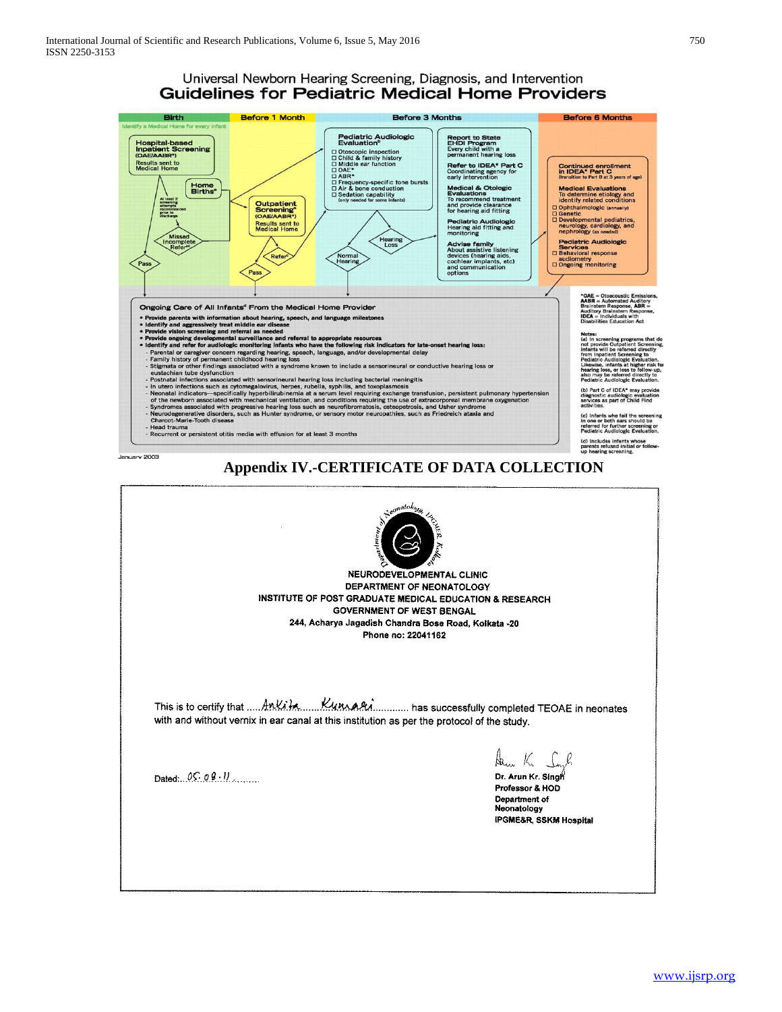## Universal Newborn Hearing Screening, Diagnosis, and Intervention **Guidelines for Pediatric Medical Home Providers**



# NEURODEVELOPMENTAL CLINIC DEPARTMENT OF NEONATOLOGY INSTITUTE OF POST GRADUATE MEDICAL EDUCATION & RESEARCH **GOVERNMENT OF WEST BENGAL** 244, Acharya Jagadish Chandra Bose Road, Kolkata -20 Phone no: 22041162 with and without vernix in ear canal at this institution as per the protocol of the study. Henry Kr Cach Dated:  $05.09.1$ Dr. Arun Kr. Singh Professor & HOD Department of Neonatology **IPGME&R, SSKM Hospital**